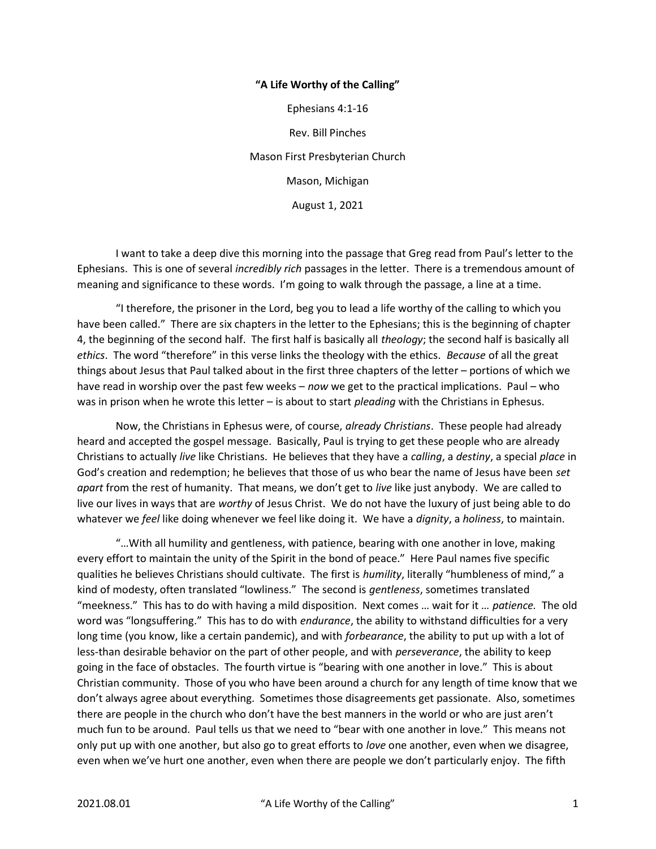## "A Life Worthy of the Calling"

Ephesians 4:1-16 Rev. Bill Pinches Mason First Presbyterian Church Mason, Michigan August 1, 2021

 I want to take a deep dive this morning into the passage that Greg read from Paul's letter to the Ephesians. This is one of several incredibly rich passages in the letter. There is a tremendous amount of meaning and significance to these words. I'm going to walk through the passage, a line at a time.

 "I therefore, the prisoner in the Lord, beg you to lead a life worthy of the calling to which you have been called." There are six chapters in the letter to the Ephesians; this is the beginning of chapter 4, the beginning of the second half. The first half is basically all theology; the second half is basically all ethics. The word "therefore" in this verse links the theology with the ethics. Because of all the great things about Jesus that Paul talked about in the first three chapters of the letter – portions of which we have read in worship over the past few weeks – now we get to the practical implications. Paul – who was in prison when he wrote this letter – is about to start *pleading* with the Christians in Ephesus.

Now, the Christians in Ephesus were, of course, already Christians. These people had already heard and accepted the gospel message. Basically, Paul is trying to get these people who are already Christians to actually live like Christians. He believes that they have a calling, a destiny, a special place in God's creation and redemption; he believes that those of us who bear the name of Jesus have been set apart from the rest of humanity. That means, we don't get to live like just anybody. We are called to live our lives in ways that are worthy of Jesus Christ. We do not have the luxury of just being able to do whatever we feel like doing whenever we feel like doing it. We have a dignity, a holiness, to maintain.

"…With all humility and gentleness, with patience, bearing with one another in love, making every effort to maintain the unity of the Spirit in the bond of peace." Here Paul names five specific qualities he believes Christians should cultivate. The first is humility, literally "humbleness of mind," a kind of modesty, often translated "lowliness." The second is *gentleness*, sometimes translated "meekness." This has to do with having a mild disposition. Next comes ... wait for it ... patience. The old word was "longsuffering." This has to do with *endurance*, the ability to withstand difficulties for a very long time (you know, like a certain pandemic), and with forbearance, the ability to put up with a lot of less-than desirable behavior on the part of other people, and with *perseverance*, the ability to keep going in the face of obstacles. The fourth virtue is "bearing with one another in love." This is about Christian community. Those of you who have been around a church for any length of time know that we don't always agree about everything. Sometimes those disagreements get passionate. Also, sometimes there are people in the church who don't have the best manners in the world or who are just aren't much fun to be around. Paul tells us that we need to "bear with one another in love." This means not only put up with one another, but also go to great efforts to love one another, even when we disagree, even when we've hurt one another, even when there are people we don't particularly enjoy. The fifth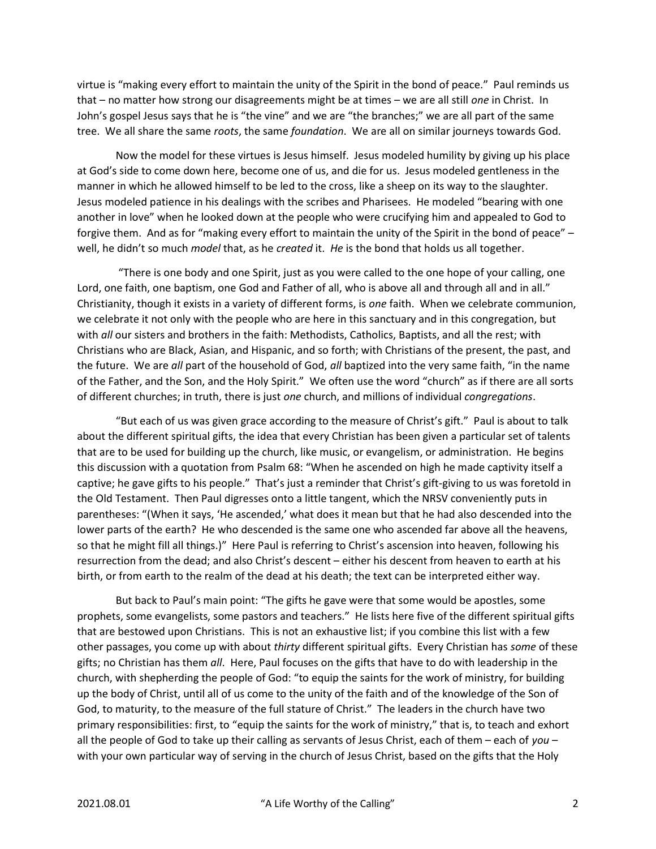virtue is "making every effort to maintain the unity of the Spirit in the bond of peace." Paul reminds us that – no matter how strong our disagreements might be at times – we are all still one in Christ. In John's gospel Jesus says that he is "the vine" and we are "the branches;" we are all part of the same tree. We all share the same roots, the same foundation. We are all on similar journeys towards God.

Now the model for these virtues is Jesus himself. Jesus modeled humility by giving up his place at God's side to come down here, become one of us, and die for us. Jesus modeled gentleness in the manner in which he allowed himself to be led to the cross, like a sheep on its way to the slaughter. Jesus modeled patience in his dealings with the scribes and Pharisees. He modeled "bearing with one another in love" when he looked down at the people who were crucifying him and appealed to God to forgive them. And as for "making every effort to maintain the unity of the Spirit in the bond of peace" – well, he didn't so much model that, as he created it. He is the bond that holds us all together.

 "There is one body and one Spirit, just as you were called to the one hope of your calling, one Lord, one faith, one baptism, one God and Father of all, who is above all and through all and in all." Christianity, though it exists in a variety of different forms, is one faith. When we celebrate communion, we celebrate it not only with the people who are here in this sanctuary and in this congregation, but with all our sisters and brothers in the faith: Methodists, Catholics, Baptists, and all the rest; with Christians who are Black, Asian, and Hispanic, and so forth; with Christians of the present, the past, and the future. We are all part of the household of God, all baptized into the very same faith, "in the name of the Father, and the Son, and the Holy Spirit." We often use the word "church" as if there are all sorts of different churches; in truth, there is just one church, and millions of individual congregations.

"But each of us was given grace according to the measure of Christ's gift." Paul is about to talk about the different spiritual gifts, the idea that every Christian has been given a particular set of talents that are to be used for building up the church, like music, or evangelism, or administration. He begins this discussion with a quotation from Psalm 68: "When he ascended on high he made captivity itself a captive; he gave gifts to his people." That's just a reminder that Christ's gift-giving to us was foretold in the Old Testament. Then Paul digresses onto a little tangent, which the NRSV conveniently puts in parentheses: "(When it says, 'He ascended,' what does it mean but that he had also descended into the lower parts of the earth? He who descended is the same one who ascended far above all the heavens, so that he might fill all things.)" Here Paul is referring to Christ's ascension into heaven, following his resurrection from the dead; and also Christ's descent – either his descent from heaven to earth at his birth, or from earth to the realm of the dead at his death; the text can be interpreted either way.

But back to Paul's main point: "The gifts he gave were that some would be apostles, some prophets, some evangelists, some pastors and teachers." He lists here five of the different spiritual gifts that are bestowed upon Christians. This is not an exhaustive list; if you combine this list with a few other passages, you come up with about thirty different spiritual gifts. Every Christian has some of these gifts; no Christian has them all. Here, Paul focuses on the gifts that have to do with leadership in the church, with shepherding the people of God: "to equip the saints for the work of ministry, for building up the body of Christ, until all of us come to the unity of the faith and of the knowledge of the Son of God, to maturity, to the measure of the full stature of Christ." The leaders in the church have two primary responsibilities: first, to "equip the saints for the work of ministry," that is, to teach and exhort all the people of God to take up their calling as servants of Jesus Christ, each of them – each of you – with your own particular way of serving in the church of Jesus Christ, based on the gifts that the Holy